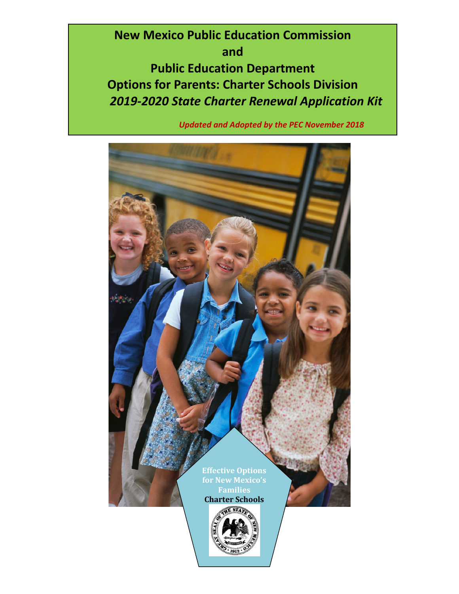**New Mexico Public Education Commission and Public Education Department Options for Parents: Charter Schools Division** *2019-2020 State Charter Renewal Application Kit*

*Updated and Adopted by the PEC November 2018*

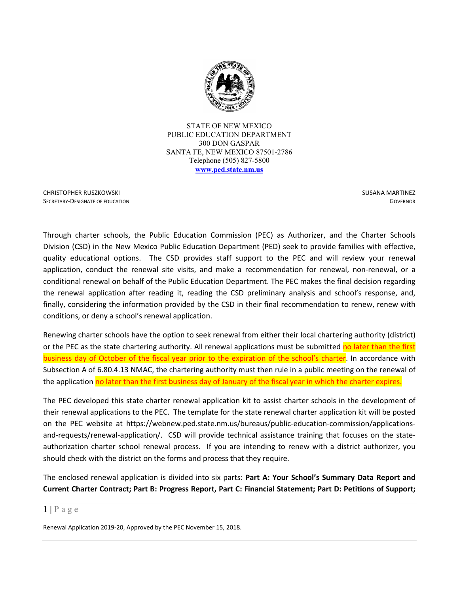

STATE OF NEW MEXICO PUBLIC EDUCATION DEPARTMENT 300 DON GASPAR SANTA FE, NEW MEXICO 87501-2786 Telephone (505) 827-5800 **[www.ped.state.nm.us](http://www.sde.state.nm.us/)**

CHRISTOPHER RUSZKOWSKI SECRETARY-DESIGNATE OF EDUCATION  SUSANA MARTINEZ **GOVERNOR** 

Through charter schools, the Public Education Commission (PEC) as Authorizer, and the Charter Schools Division (CSD) in the New Mexico Public Education Department (PED) seek to provide families with effective, quality educational options. The CSD provides staff support to the PEC and will review your renewal application, conduct the renewal site visits, and make a recommendation for renewal, non-renewal, or a conditional renewal on behalf of the Public Education Department. The PEC makes the final decision regarding the renewal application after reading it, reading the CSD preliminary analysis and school's response, and, finally, considering the information provided by the CSD in their final recommendation to renew, renew with conditions, or deny a school's renewal application.

Renewing charter schools have the option to seek renewal from either their local chartering authority (district) or the PEC as the state chartering authority. All renewal applications must be submitted no later than the first business day of October of the fiscal year prior to the expiration of the school's charter. In accordance with Subsection A of 6.80.4.13 NMAC, the chartering authority must then rule in a public meeting on the renewal of the application no later than the first business day of January of the fiscal year in which the charter expires.

The PEC developed this state charter renewal application kit to assist charter schools in the development of their renewal applications to the PEC. The template for the state renewal charter application kit will be posted on the PEC website at https://webnew.ped.state.nm.us/bureaus/public-education-commission/applicationsand-requests/renewal-application/. CSD will provide technical assistance training that focuses on the stateauthorization charter school renewal process. If you are intending to renew with a district authorizer, you should check with the district on the forms and process that they require.

The enclosed renewal application is divided into six parts: **Part A: Your School's Summary Data Report and Current Charter Contract; Part B: Progress Report, Part C: Financial Statement; Part D: Petitions of Support;** 

#### $1 \mid P \text{ a } g \text{ e}$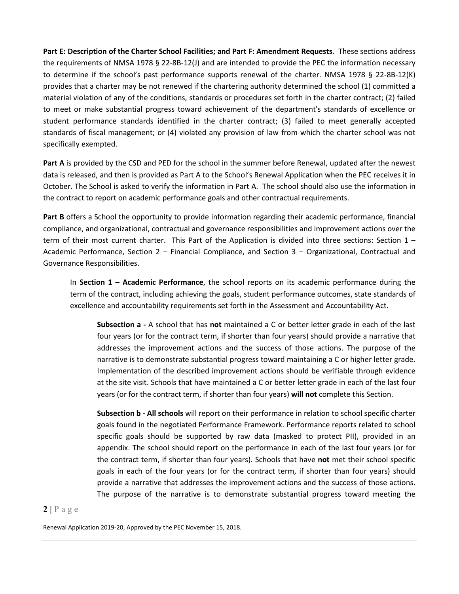**Part E: Description of the Charter School Facilities; and Part F: Amendment Requests**. These sections address the requirements of NMSA 1978 § 22-8B-12(J) and are intended to provide the PEC the information necessary to determine if the school's past performance supports renewal of the charter. NMSA 1978 § 22-8B-12(K) provides that a charter may be not renewed if the chartering authority determined the school (1) committed a material violation of any of the conditions, standards or procedures set forth in the charter contract; (2) failed to meet or make substantial progress toward achievement of the department's standards of excellence or student performance standards identified in the charter contract; (3) failed to meet generally accepted standards of fiscal management; or (4) violated any provision of law from which the charter school was not specifically exempted.

**Part A** is provided by the CSD and PED for the school in the summer before Renewal, updated after the newest data is released, and then is provided as Part A to the School's Renewal Application when the PEC receives it in October. The School is asked to verify the information in Part A. The school should also use the information in the contract to report on academic performance goals and other contractual requirements.

**Part B** offers a School the opportunity to provide information regarding their academic performance, financial compliance, and organizational, contractual and governance responsibilities and improvement actions over the term of their most current charter. This Part of the Application is divided into three sections: Section 1 – Academic Performance, Section 2 – Financial Compliance, and Section 3 – Organizational, Contractual and Governance Responsibilities.

In **Section 1 – Academic Performance**, the school reports on its academic performance during the term of the contract, including achieving the goals, student performance outcomes, state standards of excellence and accountability requirements set forth in the Assessment and Accountability Act.

**Subsection a -** A school that has **not** maintained a C or better letter grade in each of the last four years (or for the contract term, if shorter than four years) should provide a narrative that addresses the improvement actions and the success of those actions. The purpose of the narrative is to demonstrate substantial progress toward maintaining a C or higher letter grade. Implementation of the described improvement actions should be verifiable through evidence at the site visit. Schools that have maintained a C or better letter grade in each of the last four years (or for the contract term, if shorter than four years) **will not** complete this Section.

**Subsection b - All schools** will report on their performance in relation to school specific charter goals found in the negotiated Performance Framework. Performance reports related to school specific goals should be supported by raw data (masked to protect PII), provided in an appendix. The school should report on the performance in each of the last four years (or for the contract term, if shorter than four years). Schools that have **not** met their school specific goals in each of the four years (or for the contract term, if shorter than four years) should provide a narrative that addresses the improvement actions and the success of those actions. The purpose of the narrative is to demonstrate substantial progress toward meeting the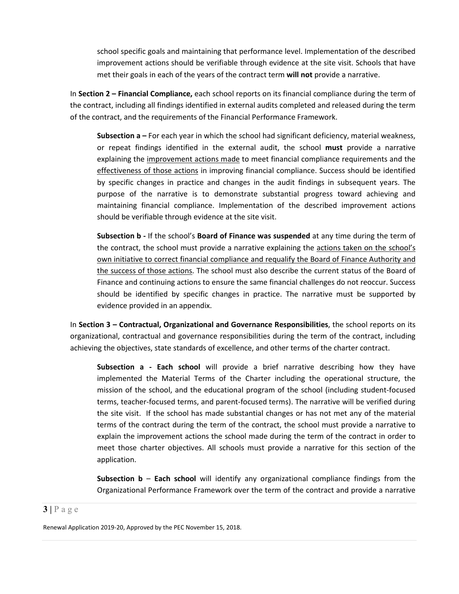school specific goals and maintaining that performance level. Implementation of the described improvement actions should be verifiable through evidence at the site visit. Schools that have met their goals in each of the years of the contract term **will not** provide a narrative.

In **Section 2 – Financial Compliance,** each school reports on its financial compliance during the term of the contract, including all findings identified in external audits completed and released during the term of the contract, and the requirements of the Financial Performance Framework.

**Subsection a –** For each year in which the school had significant deficiency, material weakness, or repeat findings identified in the external audit, the school **must** provide a narrative explaining the improvement actions made to meet financial compliance requirements and the effectiveness of those actions in improving financial compliance. Success should be identified by specific changes in practice and changes in the audit findings in subsequent years. The purpose of the narrative is to demonstrate substantial progress toward achieving and maintaining financial compliance. Implementation of the described improvement actions should be verifiable through evidence at the site visit.

**Subsection b -** If the school's **Board of Finance was suspended** at any time during the term of the contract, the school must provide a narrative explaining the actions taken on the school's own initiative to correct financial compliance and requalify the Board of Finance Authority and the success of those actions. The school must also describe the current status of the Board of Finance and continuing actions to ensure the same financial challenges do not reoccur. Success should be identified by specific changes in practice. The narrative must be supported by evidence provided in an appendix.

In **Section 3 – Contractual, Organizational and Governance Responsibilities**, the school reports on its organizational, contractual and governance responsibilities during the term of the contract, including achieving the objectives, state standards of excellence, and other terms of the charter contract.

**Subsection a - Each school** will provide a brief narrative describing how they have implemented the Material Terms of the Charter including the operational structure, the mission of the school, and the educational program of the school (including student-focused terms, teacher-focused terms, and parent-focused terms). The narrative will be verified during the site visit. If the school has made substantial changes or has not met any of the material terms of the contract during the term of the contract, the school must provide a narrative to explain the improvement actions the school made during the term of the contract in order to meet those charter objectives. All schools must provide a narrative for this section of the application.

**Subsection b** – **Each school** will identify any organizational compliance findings from the Organizational Performance Framework over the term of the contract and provide a narrative

#### $3 | P \text{ a } g \text{ e}$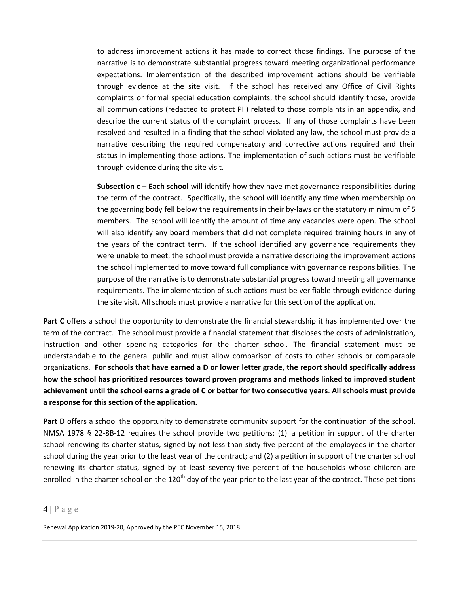to address improvement actions it has made to correct those findings. The purpose of the narrative is to demonstrate substantial progress toward meeting organizational performance expectations. Implementation of the described improvement actions should be verifiable through evidence at the site visit. If the school has received any Office of Civil Rights complaints or formal special education complaints, the school should identify those, provide all communications (redacted to protect PII) related to those complaints in an appendix, and describe the current status of the complaint process. If any of those complaints have been resolved and resulted in a finding that the school violated any law, the school must provide a narrative describing the required compensatory and corrective actions required and their status in implementing those actions. The implementation of such actions must be verifiable through evidence during the site visit.

**Subsection c** – **Each school** will identify how they have met governance responsibilities during the term of the contract. Specifically, the school will identify any time when membership on the governing body fell below the requirements in their by-laws or the statutory minimum of 5 members. The school will identify the amount of time any vacancies were open. The school will also identify any board members that did not complete required training hours in any of the years of the contract term. If the school identified any governance requirements they were unable to meet, the school must provide a narrative describing the improvement actions the school implemented to move toward full compliance with governance responsibilities. The purpose of the narrative is to demonstrate substantial progress toward meeting all governance requirements. The implementation of such actions must be verifiable through evidence during the site visit. All schools must provide a narrative for this section of the application.

**Part C** offers a school the opportunity to demonstrate the financial stewardship it has implemented over the term of the contract. The school must provide a financial statement that discloses the costs of administration, instruction and other spending categories for the charter school. The financial statement must be understandable to the general public and must allow comparison of costs to other schools or comparable organizations. **For schools that have earned a D or lower letter grade, the report should specifically address how the school has prioritized resources toward proven programs and methods linked to improved student achievement until the school earns a grade of C or better for two consecutive years**. **All schools must provide a response for this section of the application.**

**Part D** offers a school the opportunity to demonstrate community support for the continuation of the school. NMSA 1978 § 22-8B-12 requires the school provide two petitions: (1) a petition in support of the charter school renewing its charter status, signed by not less than sixty-five percent of the employees in the charter school during the year prior to the least year of the contract; and (2) a petition in support of the charter school renewing its charter status, signed by at least seventy-five percent of the households whose children are enrolled in the charter school on the 120<sup>th</sup> day of the year prior to the last year of the contract. These petitions

#### **4 |** Page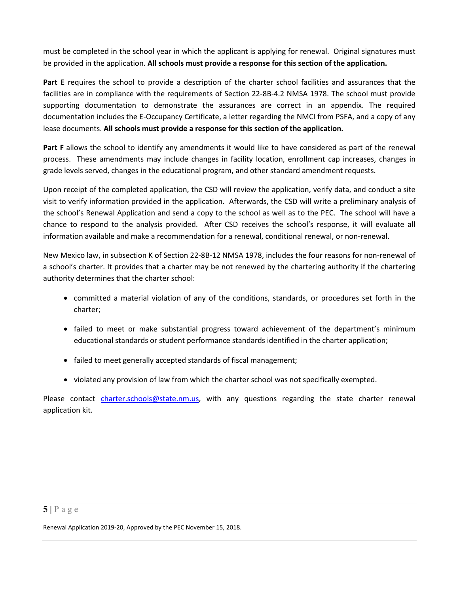must be completed in the school year in which the applicant is applying for renewal. Original signatures must be provided in the application. **All schools must provide a response for this section of the application.**

**Part E** requires the school to provide a description of the charter school facilities and assurances that the facilities are in compliance with the requirements of Section 22-8B-4.2 NMSA 1978. The school must provide supporting documentation to demonstrate the assurances are correct in an appendix. The required documentation includes the E-Occupancy Certificate, a letter regarding the NMCI from PSFA, and a copy of any lease documents. **All schools must provide a response for this section of the application.**

**Part F** allows the school to identify any amendments it would like to have considered as part of the renewal process. These amendments may include changes in facility location, enrollment cap increases, changes in grade levels served, changes in the educational program, and other standard amendment requests.

Upon receipt of the completed application, the CSD will review the application, verify data, and conduct a site visit to verify information provided in the application. Afterwards, the CSD will write a preliminary analysis of the school's Renewal Application and send a copy to the school as well as to the PEC. The school will have a chance to respond to the analysis provided. After CSD receives the school's response, it will evaluate all information available and make a recommendation for a renewal, conditional renewal, or non-renewal.

New Mexico law, in subsection K of Section 22-8B-12 NMSA 1978, includes the four reasons for non-renewal of a school's charter. It provides that a charter may be not renewed by the chartering authority if the chartering authority determines that the charter school:

- committed a material violation of any of the conditions, standards, or procedures set forth in the charter;
- failed to meet or make substantial progress toward achievement of the department's minimum educational standards or student performance standards identified in the charter application;
- failed to meet generally accepted standards of fiscal management;
- violated any provision of law from which the charter school was not specifically exempted.

Please contact [charter.schools@state.nm.us,](mailto:charter.schools@state.nm.us) with any questions regarding the state charter renewal application kit.

### $5|$   $P$  a g e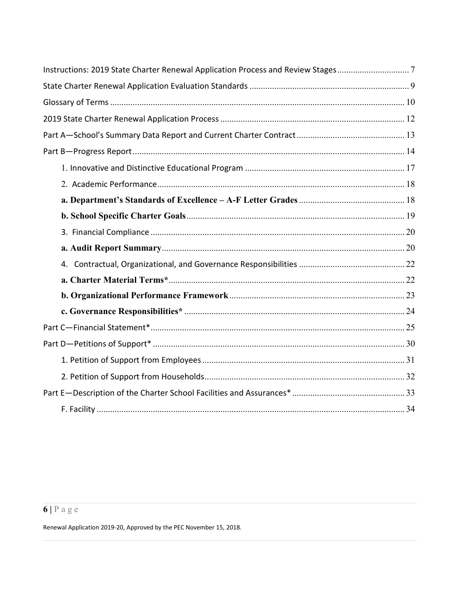| Instructions: 2019 State Charter Renewal Application Process and Review Stages7 |  |
|---------------------------------------------------------------------------------|--|
|                                                                                 |  |
|                                                                                 |  |
|                                                                                 |  |
|                                                                                 |  |
|                                                                                 |  |
|                                                                                 |  |
|                                                                                 |  |
|                                                                                 |  |
|                                                                                 |  |
|                                                                                 |  |
|                                                                                 |  |
|                                                                                 |  |
|                                                                                 |  |
|                                                                                 |  |
|                                                                                 |  |
|                                                                                 |  |
|                                                                                 |  |
|                                                                                 |  |
|                                                                                 |  |
|                                                                                 |  |
|                                                                                 |  |

# $6|Page$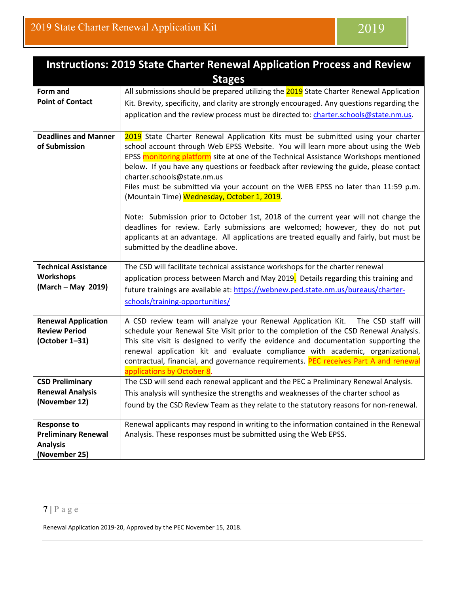<span id="page-7-0"></span>

| <b>Instructions: 2019 State Charter Renewal Application Process and Review</b>       |                                                                                                                                                                                                                                                                                                                                                                                                                                                                                                                                                                                                                                                                                                                                                                                                                                    |  |  |
|--------------------------------------------------------------------------------------|------------------------------------------------------------------------------------------------------------------------------------------------------------------------------------------------------------------------------------------------------------------------------------------------------------------------------------------------------------------------------------------------------------------------------------------------------------------------------------------------------------------------------------------------------------------------------------------------------------------------------------------------------------------------------------------------------------------------------------------------------------------------------------------------------------------------------------|--|--|
|                                                                                      | <b>Stages</b>                                                                                                                                                                                                                                                                                                                                                                                                                                                                                                                                                                                                                                                                                                                                                                                                                      |  |  |
| Form and<br><b>Point of Contact</b>                                                  | All submissions should be prepared utilizing the 2019 State Charter Renewal Application<br>Kit. Brevity, specificity, and clarity are strongly encouraged. Any questions regarding the<br>application and the review process must be directed to: charter.schools@state.nm.us.                                                                                                                                                                                                                                                                                                                                                                                                                                                                                                                                                     |  |  |
| <b>Deadlines and Manner</b><br>of Submission                                         | 2019 State Charter Renewal Application Kits must be submitted using your charter<br>school account through Web EPSS Website. You will learn more about using the Web<br>EPSS monitoring platform site at one of the Technical Assistance Workshops mentioned<br>below. If you have any questions or feedback after reviewing the guide, please contact<br>charter.schools@state.nm.us<br>Files must be submitted via your account on the WEB EPSS no later than 11:59 p.m.<br>(Mountain Time) Wednesday, October 1, 2019.<br>Note: Submission prior to October 1st, 2018 of the current year will not change the<br>deadlines for review. Early submissions are welcomed; however, they do not put<br>applicants at an advantage. All applications are treated equally and fairly, but must be<br>submitted by the deadline above. |  |  |
| <b>Technical Assistance</b><br><b>Workshops</b><br>(March - May 2019)                | The CSD will facilitate technical assistance workshops for the charter renewal<br>application process between March and May 2019. Details regarding this training and<br>future trainings are available at: https://webnew.ped.state.nm.us/bureaus/charter-<br>schools/training-opportunities/                                                                                                                                                                                                                                                                                                                                                                                                                                                                                                                                     |  |  |
| <b>Renewal Application</b><br><b>Review Period</b><br>(October 1-31)                 | A CSD review team will analyze your Renewal Application Kit. The CSD staff will<br>schedule your Renewal Site Visit prior to the completion of the CSD Renewal Analysis.<br>This site visit is designed to verify the evidence and documentation supporting the<br>renewal application kit and evaluate compliance with academic, organizational,<br>contractual, financial, and governance requirements. PEC receives Part A and renewal<br>applications by October 8.                                                                                                                                                                                                                                                                                                                                                            |  |  |
| <b>CSD Preliminary</b><br><b>Renewal Analysis</b><br>(November 12)                   | The CSD will send each renewal applicant and the PEC a Preliminary Renewal Analysis.<br>This analysis will synthesize the strengths and weaknesses of the charter school as<br>found by the CSD Review Team as they relate to the statutory reasons for non-renewal.                                                                                                                                                                                                                                                                                                                                                                                                                                                                                                                                                               |  |  |
| <b>Response to</b><br><b>Preliminary Renewal</b><br><b>Analysis</b><br>(November 25) | Renewal applicants may respond in writing to the information contained in the Renewal<br>Analysis. These responses must be submitted using the Web EPSS.                                                                                                                                                                                                                                                                                                                                                                                                                                                                                                                                                                                                                                                                           |  |  |

# **7 |** Page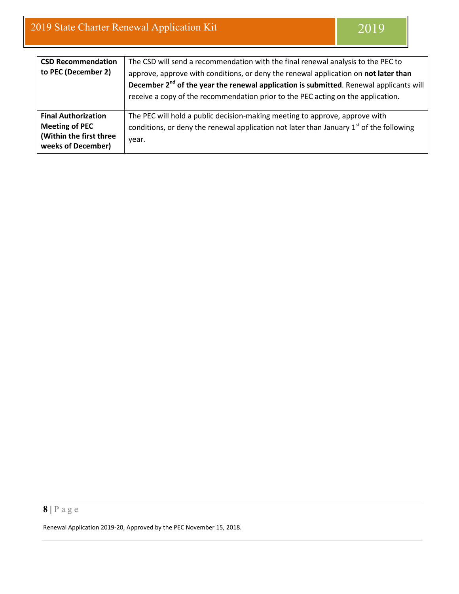| <b>CSD Recommendation</b><br>to PEC (December 2)                                                     | The CSD will send a recommendation with the final renewal analysis to the PEC to<br>approve, approve with conditions, or deny the renewal application on not later than<br>December 2 <sup>nd</sup> of the year the renewal application is submitted. Renewal applicants will<br>receive a copy of the recommendation prior to the PEC acting on the application. |
|------------------------------------------------------------------------------------------------------|-------------------------------------------------------------------------------------------------------------------------------------------------------------------------------------------------------------------------------------------------------------------------------------------------------------------------------------------------------------------|
| <b>Final Authorization</b><br><b>Meeting of PEC</b><br>(Within the first three<br>weeks of December) | The PEC will hold a public decision-making meeting to approve, approve with<br>conditions, or deny the renewal application not later than January $1st$ of the following<br>year.                                                                                                                                                                                 |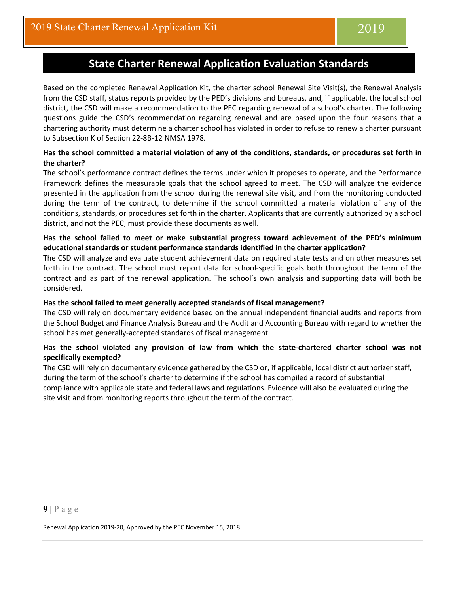# **State Charter Renewal Application Evaluation Standards**

<span id="page-9-0"></span>Based on the completed Renewal Application Kit, the charter school Renewal Site Visit(s), the Renewal Analysis from the CSD staff, status reports provided by the PED's divisions and bureaus, and, if applicable, the local school district, the CSD will make a recommendation to the PEC regarding renewal of a school's charter. The following questions guide the CSD's recommendation regarding renewal and are based upon the four reasons that a chartering authority must determine a charter school has violated in order to refuse to renew a charter pursuant to Subsection K of Section 22-8B-12 NMSA 1978*.*

#### **Has the school committed a material violation of any of the conditions, standards, or procedures set forth in the charter?**

The school's performance contract defines the terms under which it proposes to operate, and the Performance Framework defines the measurable goals that the school agreed to meet. The CSD will analyze the evidence presented in the application from the school during the renewal site visit, and from the monitoring conducted during the term of the contract, to determine if the school committed a material violation of any of the conditions, standards, or procedures set forth in the charter. Applicants that are currently authorized by a school district, and not the PEC, must provide these documents as well.

#### **Has the school failed to meet or make substantial progress toward achievement of the PED's minimum educational standards or student performance standards identified in the charter application?**

The CSD will analyze and evaluate student achievement data on required state tests and on other measures set forth in the contract. The school must report data for school-specific goals both throughout the term of the contract and as part of the renewal application. The school's own analysis and supporting data will both be considered.

#### **Has the school failed to meet generally accepted standards of fiscal management?**

The CSD will rely on documentary evidence based on the annual independent financial audits and reports from the School Budget and Finance Analysis Bureau and the Audit and Accounting Bureau with regard to whether the school has met generally-accepted standards of fiscal management.

#### **Has the school violated any provision of law from which the state-chartered charter school was not specifically exempted?**

The CSD will rely on documentary evidence gathered by the CSD or, if applicable, local district authorizer staff, during the term of the school's charter to determine if the school has compiled a record of substantial compliance with applicable state and federal laws and regulations. Evidence will also be evaluated during the site visit and from monitoring reports throughout the term of the contract.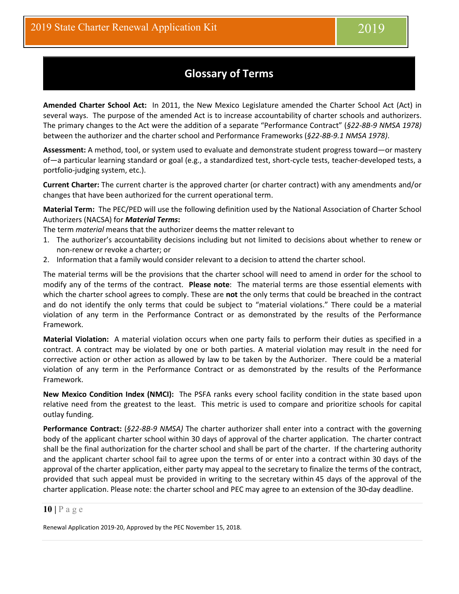# **Glossary of Terms**

<span id="page-10-0"></span>**Amended Charter School Act:** In 2011, the New Mexico Legislature amended the Charter School Act (Act) in several ways. The purpose of the amended Act is to increase accountability of charter schools and authorizers. The primary changes to the Act were the addition of a separate "Performance Contract" (*§22-8B-9 NMSA 1978)* between the authorizer and the charter school and Performance Frameworks (*§22-8B-9.1 NMSA 1978)*.

**Assessment:** A method, tool, or system used to evaluate and demonstrate student progress toward—or mastery of—a particular learning standard or goal (e.g., a standardized test, short-cycle tests, teacher-developed tests, a portfolio-judging system, etc.).

**Current Charter:** The current charter is the approved charter (or charter contract) with any amendments and/or changes that have been authorized for the current operational term.

**Material Term:** The PEC/PED will use the following definition used by the National Association of Charter School Authorizers (NACSA) for *Material Terms***:**

The term *material* means that the authorizer deems the matter relevant to

- 1. The authorizer's accountability decisions including but not limited to decisions about whether to renew or non-renew or revoke a charter; or
- 2. Information that a family would consider relevant to a decision to attend the charter school.

The material terms will be the provisions that the charter school will need to amend in order for the school to modify any of the terms of the contract. **Please note**: The material terms are those essential elements with which the charter school agrees to comply. These are **not** the only terms that could be breached in the contract and do not identify the only terms that could be subject to "material violations." There could be a material violation of any term in the Performance Contract or as demonstrated by the results of the Performance Framework.

**Material Violation:** A material violation occurs when one party fails to perform their duties as specified in a contract. A contract may be violated by one or both parties. A material violation may result in the need for corrective action or other action as allowed by law to be taken by the Authorizer. There could be a material violation of any term in the Performance Contract or as demonstrated by the results of the Performance Framework.

**New Mexico Condition Index (NMCI):** The PSFA ranks every school facility condition in the state based upon relative need from the greatest to the least. This metric is used to compare and prioritize schools for capital outlay funding.

**Performance Contract:** (*§22-8B-9 NMSA)* The charter authorizer shall enter into a contract with the governing body of the applicant charter school within 30 days of approval of the charter application. The charter contract shall be the final authorization for the charter school and shall be part of the charter. If the chartering authority and the applicant charter school fail to agree upon the terms of or enter into a contract within 30 days of the approval of the charter application, either party may appeal to the secretary to finalize the terms of the contract, provided that such appeal must be provided in writing to the secretary within 45 days of the approval of the charter application. Please note: the charter school and PEC may agree to an extension of the 30**-**day deadline.

#### **10 |** Page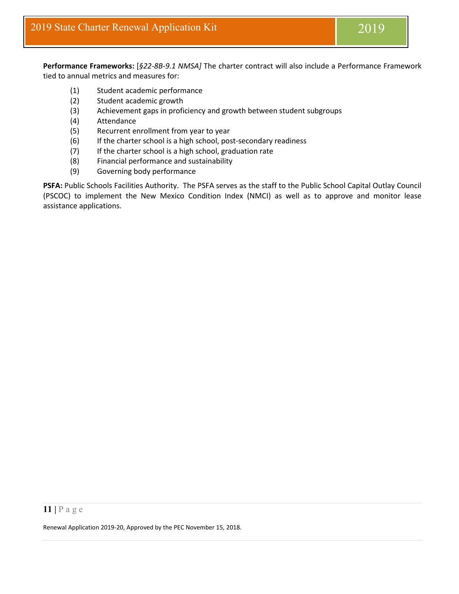**Performance Frameworks:** [*§22-8B-9.1 NMSA]* The charter contract will also include a Performance Framework tied to annual metrics and measures for:

- (1) Student academic performance
- (2) Student academic growth
- (3) Achievement gaps in proficiency and growth between student subgroups
- (4) Attendance
- (5) Recurrent enrollment from year to year
- (6) If the charter school is a high school, post-secondary readiness
- (7) If the charter school is a high school, graduation rate
- (8) Financial performance and sustainability
- (9) Governing body performance

**PSFA:** Public Schools Facilities Authority. The PSFA serves as the staff to the Public School Capital Outlay Council (PSCOC) to implement the New Mexico Condition Index (NMCI) as well as to approve and monitor lease assistance applications.

#### **11 |** Page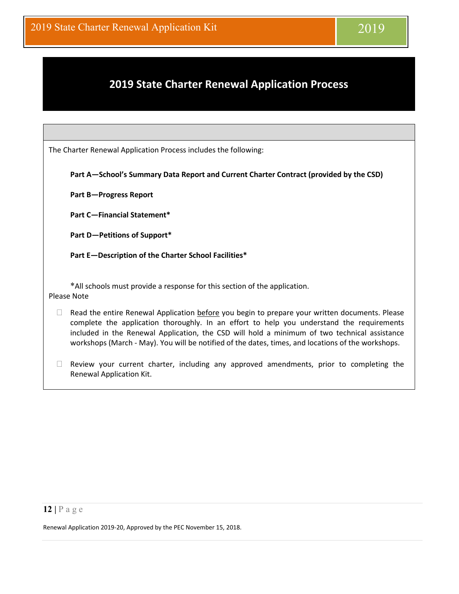# <span id="page-12-0"></span>**2019 State Charter Renewal Application Process**

The Charter Renewal Application Process includes the following:

**Part A—School's Summary Data Report and Current Charter Contract (provided by the CSD)**

**Part B—Progress Report**

**Part C—Financial Statement\***

**Part D—Petitions of Support\***

**Part E—Description of the Charter School Facilities\***

\*All schools must provide a response for this section of the application. Please Note

- $\Box$  Read the entire Renewal Application before you begin to prepare your written documents. Please complete the application thoroughly. In an effort to help you understand the requirements included in the Renewal Application, the CSD will hold a minimum of two technical assistance workshops (March - May). You will be notified of the dates, times, and locations of the workshops.
- $\Box$  Review your current charter, including any approved amendments, prior to completing the Renewal Application Kit.

#### **12 |** Page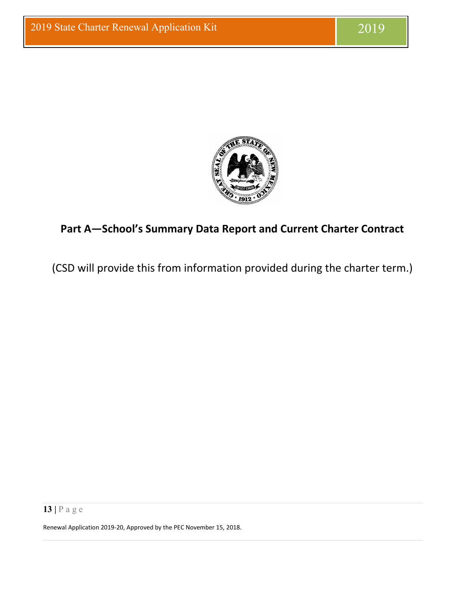

# <span id="page-13-0"></span>**Part A—School's Summary Data Report and Current Charter Contract**

(CSD will provide this from information provided during the charter term.)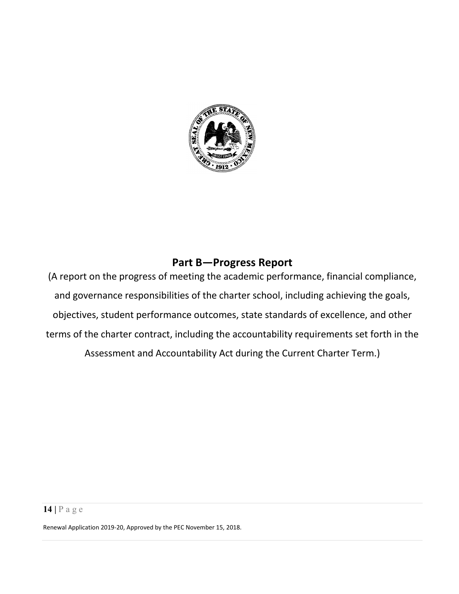

# **Part B—Progress Report**

<span id="page-14-0"></span>(A report on the progress of meeting the academic performance, financial compliance, and governance responsibilities of the charter school, including achieving the goals, objectives, student performance outcomes, state standards of excellence, and other terms of the charter contract, including the accountability requirements set forth in the Assessment and Accountability Act during the Current Charter Term.)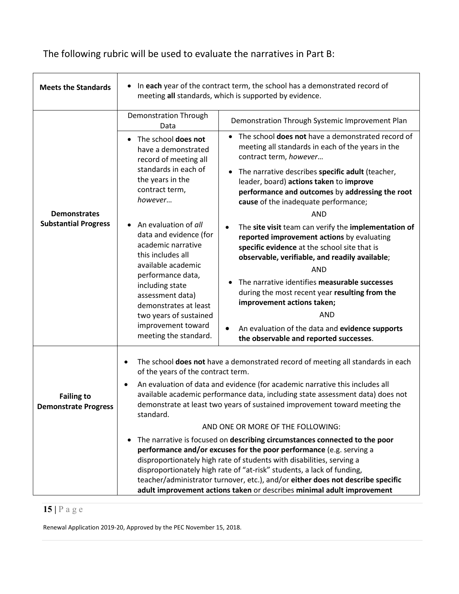The following rubric will be used to evaluate the narratives in Part B:

| <b>Meets the Standards</b>                                                                                                                                                                                                                                                                                                                                                                                                                                                                                                                                                                                                                                                                                                                                                                                              | In each year of the contract term, the school has a demonstrated record of<br>meeting all standards, which is supported by evidence.                                                                                        |                                                                                                                                                                                                                                                                                                                                                                                                                                                                    |  |
|-------------------------------------------------------------------------------------------------------------------------------------------------------------------------------------------------------------------------------------------------------------------------------------------------------------------------------------------------------------------------------------------------------------------------------------------------------------------------------------------------------------------------------------------------------------------------------------------------------------------------------------------------------------------------------------------------------------------------------------------------------------------------------------------------------------------------|-----------------------------------------------------------------------------------------------------------------------------------------------------------------------------------------------------------------------------|--------------------------------------------------------------------------------------------------------------------------------------------------------------------------------------------------------------------------------------------------------------------------------------------------------------------------------------------------------------------------------------------------------------------------------------------------------------------|--|
|                                                                                                                                                                                                                                                                                                                                                                                                                                                                                                                                                                                                                                                                                                                                                                                                                         | <b>Demonstration Through</b><br>Data                                                                                                                                                                                        | Demonstration Through Systemic Improvement Plan                                                                                                                                                                                                                                                                                                                                                                                                                    |  |
| <b>Demonstrates</b><br><b>Substantial Progress</b>                                                                                                                                                                                                                                                                                                                                                                                                                                                                                                                                                                                                                                                                                                                                                                      | • The school does not<br>have a demonstrated<br>record of meeting all<br>standards in each of<br>the years in the<br>contract term,<br>however<br>An evaluation of all<br>data and evidence (for                            | The school <b>does not</b> have a demonstrated record of<br>meeting all standards in each of the years in the<br>contract term, however<br>The narrative describes specific adult (teacher,<br>leader, board) actions taken to improve<br>performance and outcomes by addressing the root<br>cause of the inadequate performance;<br><b>AND</b><br>The site visit team can verify the implementation of<br>$\bullet$<br>reported improvement actions by evaluating |  |
|                                                                                                                                                                                                                                                                                                                                                                                                                                                                                                                                                                                                                                                                                                                                                                                                                         | academic narrative<br>this includes all<br>available academic<br>performance data,<br>including state<br>assessment data)<br>demonstrates at least<br>two years of sustained<br>improvement toward<br>meeting the standard. | specific evidence at the school site that is<br>observable, verifiable, and readily available;<br><b>AND</b><br>The narrative identifies measurable successes<br>during the most recent year resulting from the<br>improvement actions taken;<br><b>AND</b><br>An evaluation of the data and evidence supports<br>$\bullet$<br>the observable and reported successes.                                                                                              |  |
|                                                                                                                                                                                                                                                                                                                                                                                                                                                                                                                                                                                                                                                                                                                                                                                                                         | of the years of the contract term.                                                                                                                                                                                          | The school does not have a demonstrated record of meeting all standards in each                                                                                                                                                                                                                                                                                                                                                                                    |  |
| An evaluation of data and evidence (for academic narrative this includes all<br>available academic performance data, including state assessment data) does not<br><b>Failing to</b><br>demonstrate at least two years of sustained improvement toward meeting the<br><b>Demonstrate Progress</b><br>standard.<br>AND ONE OR MORE OF THE FOLLOWING:<br>The narrative is focused on describing circumstances connected to the poor<br>performance and/or excuses for the poor performance (e.g. serving a<br>disproportionately high rate of students with disabilities, serving a<br>disproportionately high rate of "at-risk" students, a lack of funding,<br>teacher/administrator turnover, etc.), and/or either does not describe specific<br>adult improvement actions taken or describes minimal adult improvement |                                                                                                                                                                                                                             |                                                                                                                                                                                                                                                                                                                                                                                                                                                                    |  |
|                                                                                                                                                                                                                                                                                                                                                                                                                                                                                                                                                                                                                                                                                                                                                                                                                         |                                                                                                                                                                                                                             |                                                                                                                                                                                                                                                                                                                                                                                                                                                                    |  |

# **15 |** Page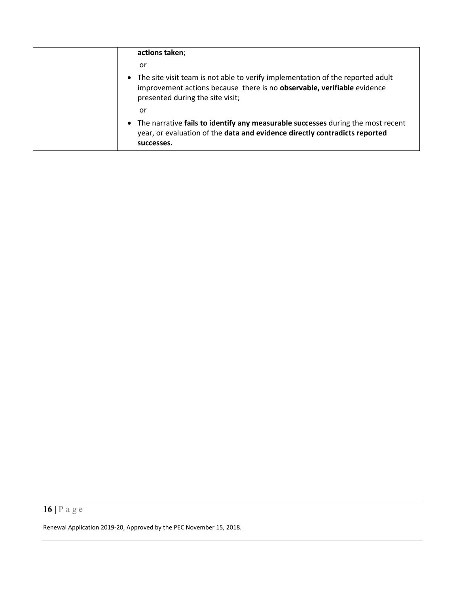| actions taken;                                                                                                                                                                                  |
|-------------------------------------------------------------------------------------------------------------------------------------------------------------------------------------------------|
| or                                                                                                                                                                                              |
| • The site visit team is not able to verify implementation of the reported adult<br>improvement actions because there is no observable, verifiable evidence<br>presented during the site visit; |
| or                                                                                                                                                                                              |
| • The narrative fails to identify any measurable successes during the most recent<br>year, or evaluation of the data and evidence directly contradicts reported<br>successes.                   |

# **16 |** Page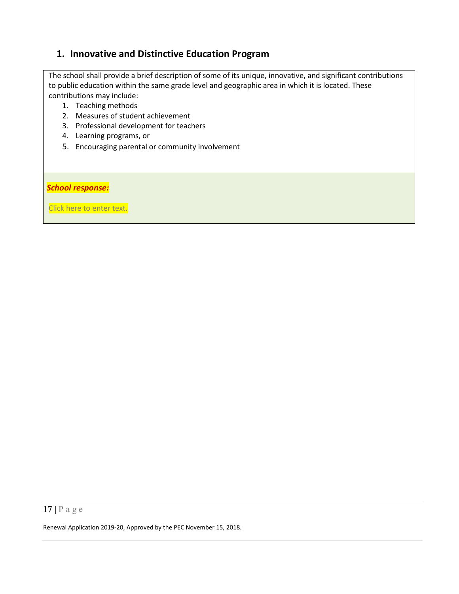# <span id="page-17-0"></span>**1. Innovative and Distinctive Education Program**

The school shall provide a brief description of some of its unique, innovative, and significant contributions to public education within the same grade level and geographic area in which it is located. These contributions may include:

- 1. Teaching methods
- 2. Measures of student achievement
- 3. Professional development for teachers
- 4. Learning programs, or
- 5. Encouraging parental or community involvement

#### *School response:*

Click here to enter text.

### **17 |** Page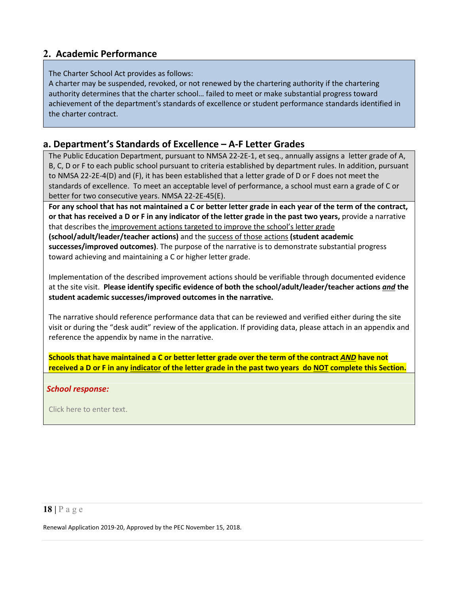## <span id="page-18-0"></span>**2. Academic Performance**

#### The Charter School Act provides as follows:

A charter may be suspended, revoked, or not renewed by the chartering authority if the chartering authority determines that the charter school… failed to meet or make substantial progress toward achievement of the department's standards of excellence or student performance standards identified in the charter contract.

### <span id="page-18-1"></span>**a. Department's Standards of Excellence – A-F Letter Grades**

The Public Education Department, pursuant to NMSA 22-2E-1, et seq., annually assigns a letter grade of A, B, C, D or F to each public school pursuant to criteria established by department rules. In addition, pursuant to NMSA 22-2E-4(D) and (F), it has been established that a letter grade of D or F does not meet the standards of excellence. To meet an acceptable level of performance, a school must earn a grade of C or better for two consecutive years. NMSA 22-2E-45(E).

**For any school that has not maintained a C or better letter grade in each year of the term of the contract, or that has received a D or F in any indicator of the letter grade in the past two years,** provide a narrative that describes the improvement actions targeted to improve the school's letter grade **(school/adult/leader/teacher actions)** and the success of those actions **(student academic** 

**successes/improved outcomes)**. The purpose of the narrative is to demonstrate substantial progress toward achieving and maintaining a C or higher letter grade.

Implementation of the described improvement actions should be verifiable through documented evidence at the site visit. **Please identify specific evidence of both the school/adult/leader/teacher actions** *and* **the student academic successes/improved outcomes in the narrative.**

The narrative should reference performance data that can be reviewed and verified either during the site visit or during the "desk audit" review of the application. If providing data, please attach in an appendix and reference the appendix by name in the narrative.

**Schools that have maintained a C or better letter grade over the term of the contract** *AND* **have not received a D or F in any indicator of the letter grade in the past two years do NOT complete this Section.**

#### *School response:*

Click here to enter text.

### **18 |** Page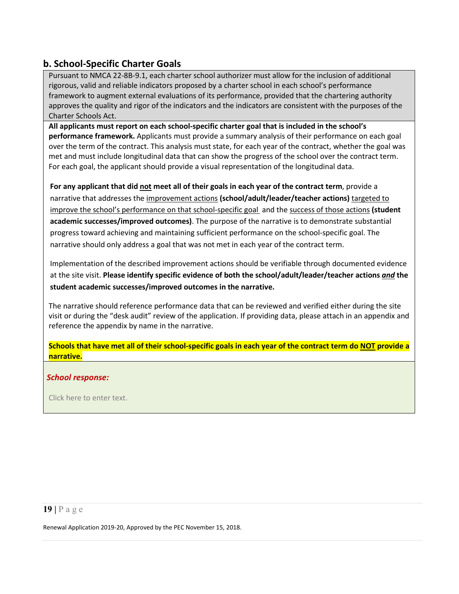## <span id="page-19-0"></span>**b. School-Specific Charter Goals**

Pursuant to NMCA 22-8B-9.1, each charter school authorizer must allow for the inclusion of additional rigorous, valid and reliable indicators proposed by a charter school in each school's performance framework to augment external evaluations of its performance, provided that the chartering authority approves the quality and rigor of the indicators and the indicators are consistent with the purposes of the Charter Schools Act.

**All applicants must report on each school-specific charter goal that is included in the school's performance framework.** Applicants must provide a summary analysis of their performance on each goal over the term of the contract. This analysis must state, for each year of the contract, whether the goal was met and must include longitudinal data that can show the progress of the school over the contract term. For each goal, the applicant should provide a visual representation of the longitudinal data.

**For any applicant that did not meet all of their goals in each year of the contract term**, provide a narrative that addresses the improvement actions **(school/adult/leader/teacher actions)** targeted to improve the school's performance on that school-specific goal and the success of those actions **(student academic successes/improved outcomes)**. The purpose of the narrative is to demonstrate substantial progress toward achieving and maintaining sufficient performance on the school-specific goal. The narrative should only address a goal that was not met in each year of the contract term.

Implementation of the described improvement actions should be verifiable through documented evidence at the site visit. **Please identify specific evidence of both the school/adult/leader/teacher actions** *and* **the student academic successes/improved outcomes in the narrative.**

The narrative should reference performance data that can be reviewed and verified either during the site visit or during the "desk audit" review of the application. If providing data, please attach in an appendix and reference the appendix by name in the narrative.

**Schools that have met all of their school-specific goals in each year of the contract term do NOT provide a narrative.**

#### *School response:*

Click here to enter text.

### **19 |** Page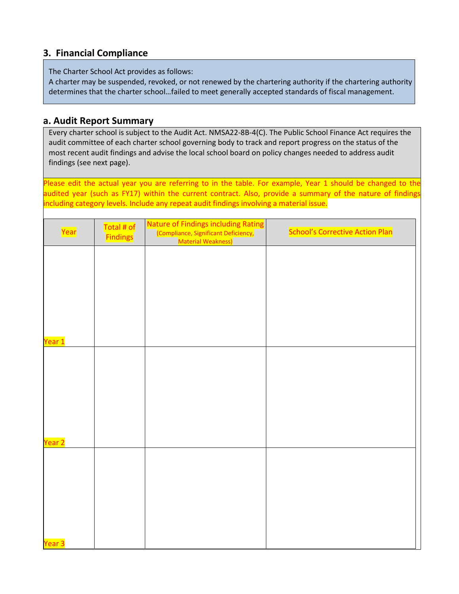## <span id="page-20-0"></span>**3. Financial Compliance**

The Charter School Act provides as follows:

A charter may be suspended, revoked, or not renewed by the chartering authority if the chartering authority determines that the charter school…failed to meet generally accepted standards of fiscal management.

### <span id="page-20-1"></span>**a. Audit Report Summary**

Every charter school is subject to the Audit Act. NMSA22-8B-4(C). The Public School Finance Act requires the audit committee of each charter school governing body to track and report progress on the status of the most recent audit findings and advise the local school board on policy changes needed to address audit findings (see next page).

Please edit the actual year you are referring to in the table. For example, Year 1 should be changed to the audited year (such as FY17) within the current contract. Also, provide a summary of the nature of findings including category levels. Include any repeat audit findings involving a material issue.

| Year              | Total # of<br><b>Findings</b> | Nature of Findings including Rating<br>(Compliance, Significant Deficiency,<br>Material Weakness) | <b>School's Corrective Action Plan</b> |
|-------------------|-------------------------------|---------------------------------------------------------------------------------------------------|----------------------------------------|
|                   |                               |                                                                                                   |                                        |
|                   |                               |                                                                                                   |                                        |
|                   |                               |                                                                                                   |                                        |
| Year 1            |                               |                                                                                                   |                                        |
|                   |                               |                                                                                                   |                                        |
|                   |                               |                                                                                                   |                                        |
|                   |                               |                                                                                                   |                                        |
| Year 2            |                               |                                                                                                   |                                        |
|                   |                               |                                                                                                   |                                        |
|                   |                               |                                                                                                   |                                        |
|                   |                               |                                                                                                   |                                        |
| Year <sub>3</sub> |                               |                                                                                                   |                                        |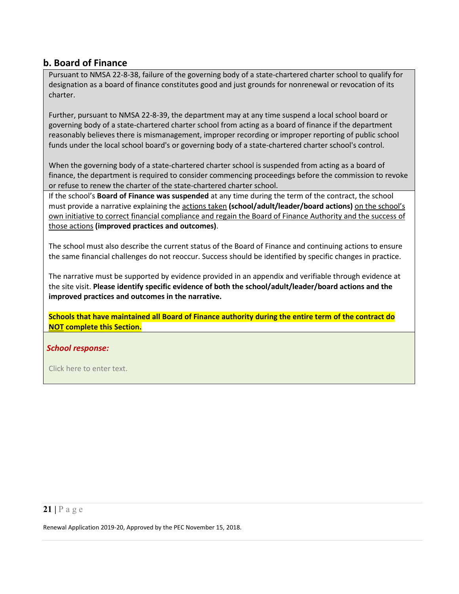## **b. Board of Finance**

Pursuant to NMSA 22-8-38, failure of the governing body of a state-chartered charter school to qualify for designation as a board of finance constitutes good and just grounds for nonrenewal or revocation of its charter.

Further, pursuant to NMSA 22-8-39, the department may at any time suspend a local school board or governing body of a state-chartered charter school from acting as a board of finance if the department reasonably believes there is mismanagement, improper recording or improper reporting of public school funds under the local school board's or governing body of a state-chartered charter school's control.

When the governing body of a state-chartered charter school is suspended from acting as a board of finance, the department is required to consider commencing proceedings before the commission to revoke or refuse to renew the charter of the state-chartered charter school.

If the school's **Board of Finance was suspended** at any time during the term of the contract, the school must provide a narrative explaining the actions taken (school/adult/leader/board actions) on the school's own initiative to correct financial compliance and regain the Board of Finance Authority and the success of those actions **(improved practices and outcomes)**.

The school must also describe the current status of the Board of Finance and continuing actions to ensure the same financial challenges do not reoccur. Success should be identified by specific changes in practice.

The narrative must be supported by evidence provided in an appendix and verifiable through evidence at the site visit. **Please identify specific evidence of both the school/adult/leader/board actions and the improved practices and outcomes in the narrative.**

**Schools that have maintained all Board of Finance authority during the entire term of the contract do NOT complete this Section.**

#### *School response:*

Click here to enter text.

### **21 |** Page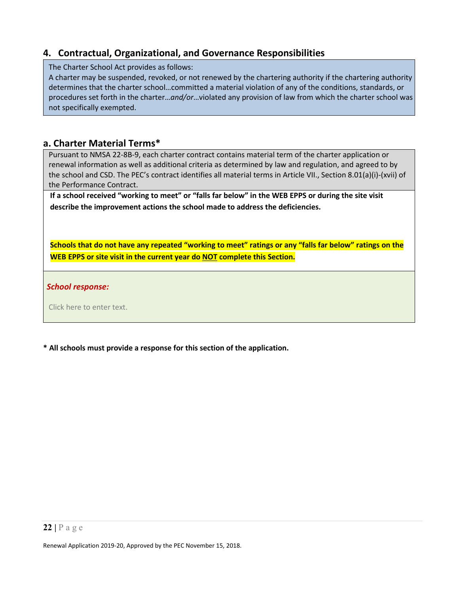# <span id="page-22-0"></span>**4. Contractual, Organizational, and Governance Responsibilities**

The Charter School Act provides as follows:

A charter may be suspended, revoked, or not renewed by the chartering authority if the chartering authority determines that the charter school…committed a material violation of any of the conditions, standards, or procedures set forth in the charter…*and/or*…violated any provision of law from which the charter school was not specifically exempted.

### <span id="page-22-1"></span>**a. Charter Material Terms\***

Pursuant to NMSA 22-8B-9, each charter contract contains material term of the charter application or renewal information as well as additional criteria as determined by law and regulation, and agreed to by the school and CSD. The PEC's contract identifies all material terms in Article VII., Section 8.01(a)(i)-(xvii) of the Performance Contract.

**If a school received "working to meet" or "falls far below" in the WEB EPPS or during the site visit describe the improvement actions the school made to address the deficiencies.**

**Schools that do not have any repeated "working to meet" ratings or any "falls far below" ratings on the WEB EPPS or site visit in the current year do NOT complete this Section.**

*School response:* 

Click here to enter text.

**\* All schools must provide a response for this section of the application.**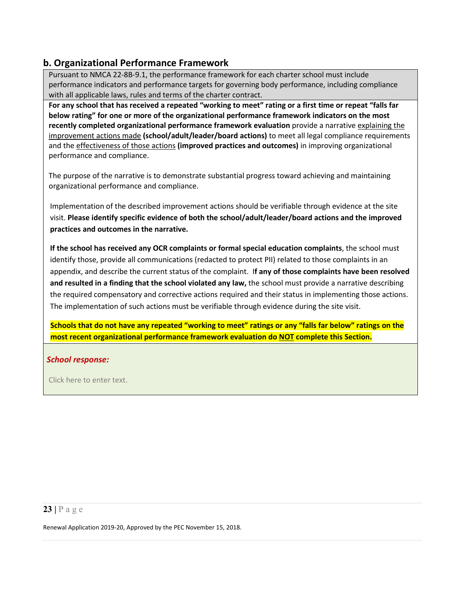# <span id="page-23-0"></span>**b. Organizational Performance Framework**

Pursuant to NMCA 22-8B-9.1, the performance framework for each charter school must include performance indicators and performance targets for governing body performance, including compliance with all applicable laws, rules and terms of the charter contract.

**For any school that has received a repeated "working to meet" rating or a first time or repeat "falls far below rating" for one or more of the organizational performance framework indicators on the most recently completed organizational performance framework evaluation** provide a narrative explaining the improvement actions made **(school/adult/leader/board actions)** to meet all legal compliance requirements and the effectiveness of those actions **(improved practices and outcomes)** in improving organizational performance and compliance.

The purpose of the narrative is to demonstrate substantial progress toward achieving and maintaining organizational performance and compliance.

Implementation of the described improvement actions should be verifiable through evidence at the site visit. **Please identify specific evidence of both the school/adult/leader/board actions and the improved practices and outcomes in the narrative.**

**If the school has received any OCR complaints or formal special education complaints**, the school must identify those, provide all communications (redacted to protect PII) related to those complaints in an appendix, and describe the current status of the complaint. I**f any of those complaints have been resolved and resulted in a finding that the school violated any law,** the school must provide a narrative describing the required compensatory and corrective actions required and their status in implementing those actions. The implementation of such actions must be verifiable through evidence during the site visit.

**Schools that do not have any repeated "working to meet" ratings or any "falls far below" ratings on the most recent organizational performance framework evaluation do NOT complete this Section.**

#### *School response:*

Click here to enter text.

### **23 |** Page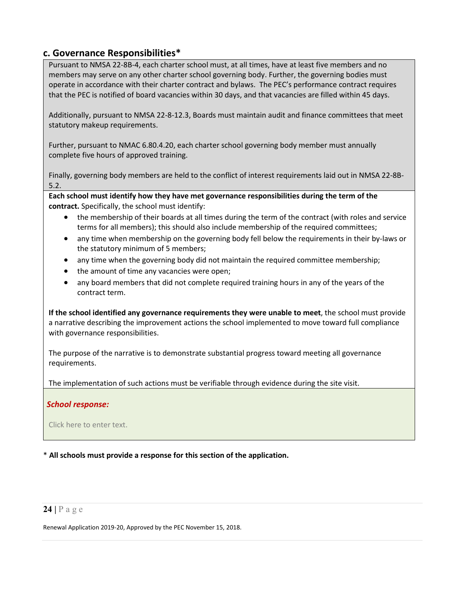### <span id="page-24-0"></span>**c. Governance Responsibilities\***

Pursuant to NMSA 22-8B-4, each charter school must, at all times, have at least five members and no members may serve on any other charter school governing body. Further, the governing bodies must operate in accordance with their charter contract and bylaws. The PEC's performance contract requires that the PEC is notified of board vacancies within 30 days, and that vacancies are filled within 45 days.

Additionally, pursuant to NMSA 22-8-12.3, Boards must maintain audit and finance committees that meet statutory makeup requirements.

Further, pursuant to NMAC 6.80.4.20, each charter school governing body member must annually complete five hours of approved training.

Finally, governing body members are held to the conflict of interest requirements laid out in NMSA 22-8B-5.2.

**Each school must identify how they have met governance responsibilities during the term of the contract.** Specifically, the school must identify:

- the membership of their boards at all times during the term of the contract (with roles and service terms for all members); this should also include membership of the required committees;
- any time when membership on the governing body fell below the requirements in their by-laws or the statutory minimum of 5 members;
- any time when the governing body did not maintain the required committee membership;
- the amount of time any vacancies were open;
- any board members that did not complete required training hours in any of the years of the contract term.

**If the school identified any governance requirements they were unable to meet**, the school must provide a narrative describing the improvement actions the school implemented to move toward full compliance with governance responsibilities.

The purpose of the narrative is to demonstrate substantial progress toward meeting all governance requirements.

The implementation of such actions must be verifiable through evidence during the site visit.

#### *School response:*

Click here to enter text.

\* **All schools must provide a response for this section of the application.**

#### **24 |** Page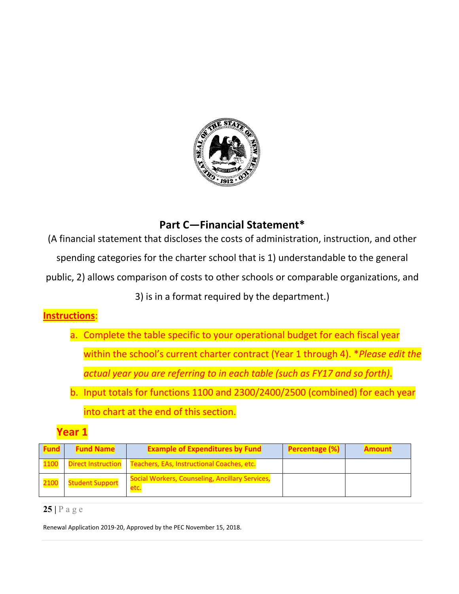

# **Part C—Financial Statement\***

<span id="page-25-0"></span>(A financial statement that discloses the costs of administration, instruction, and other

spending categories for the charter school that is 1) understandable to the general

public, 2) allows comparison of costs to other schools or comparable organizations, and

3) is in a format required by the department.)

# **Instructions**:

- a. Complete the table specific to your operational budget for each fiscal year within the school's current charter contract (Year 1 through 4). \**Please edit the actual year you are referring to in each table (such as FY17 and so forth)*.
- b. Input totals for functions 1100 and 2300/2400/2500 (combined) for each year into chart at the end of this section.

# **Year 1**

| <b>Fund</b> | <b>Fund Name</b>       | <b>Example of Expenditures by Fund</b>                          | <b>Percentage (%)</b> | <b>Amount</b> |
|-------------|------------------------|-----------------------------------------------------------------|-----------------------|---------------|
| 1100        |                        | Direct Instruction   Teachers, EAs, Instructional Coaches, etc. |                       |               |
| 2100        | <b>Student Support</b> | Social Workers, Counseling, Ancillary Services,<br>etc.         |                       |               |

### **25 |** Page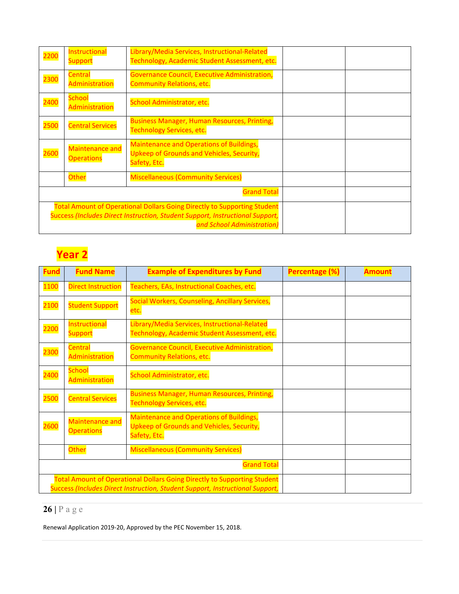| 2200                                                                                                                                                                                           | Instructional<br><b>Support</b>             | Library/Media Services, Instructional-Related<br>Technology, Academic Student Assessment, etc.               |  |
|------------------------------------------------------------------------------------------------------------------------------------------------------------------------------------------------|---------------------------------------------|--------------------------------------------------------------------------------------------------------------|--|
| 2300                                                                                                                                                                                           | <b>Central</b><br>Administration            | <b>Governance Council, Executive Administration,</b><br><b>Community Relations, etc.</b>                     |  |
| 2400                                                                                                                                                                                           | <b>School</b><br>Administration             | School Administrator, etc.                                                                                   |  |
| 2500                                                                                                                                                                                           | <b>Central Services</b>                     | <b>Business Manager, Human Resources, Printing,</b><br><b>Technology Services, etc.</b>                      |  |
| 2600                                                                                                                                                                                           | <b>Maintenance and</b><br><b>Operations</b> | <b>Maintenance and Operations of Buildings,</b><br>Upkeep of Grounds and Vehicles, Security,<br>Safety, Etc. |  |
|                                                                                                                                                                                                | <b>Other</b>                                | <b>Miscellaneous (Community Services)</b>                                                                    |  |
|                                                                                                                                                                                                |                                             | <b>Grand Total</b>                                                                                           |  |
| <b>Total Amount of Operational Dollars Going Directly to Supporting Student</b><br>Success (Includes Direct Instruction, Student Support, Instructional Support,<br>and School Administration) |                                             |                                                                                                              |  |

# **Year 2**

| <b>Fund</b>                                                                                                                                                      | <b>Fund Name</b>                            | <b>Example of Expenditures by Fund</b>                                                                              | Percentage (%) | <b>Amount</b> |
|------------------------------------------------------------------------------------------------------------------------------------------------------------------|---------------------------------------------|---------------------------------------------------------------------------------------------------------------------|----------------|---------------|
| 1100                                                                                                                                                             | <b>Direct Instruction</b>                   | Teachers, EAs, Instructional Coaches, etc.                                                                          |                |               |
| 2100                                                                                                                                                             | <b>Student Support</b>                      | Social Workers, Counseling, Ancillary Services,<br>etc.                                                             |                |               |
| <b>2200</b>                                                                                                                                                      | Instructional<br><b>Support</b>             | Library/Media Services, Instructional-Related<br>Technology, Academic Student Assessment, etc.                      |                |               |
| 2300                                                                                                                                                             | <b>Central</b><br>Administration            | Governance Council, Executive Administration,<br><b>Community Relations, etc.</b>                                   |                |               |
| <b>2400</b>                                                                                                                                                      | <b>School</b><br>Administration             | School Administrator, etc.                                                                                          |                |               |
| 2500                                                                                                                                                             | <b>Central Services</b>                     | <b>Business Manager, Human Resources, Printing,</b><br><b>Technology Services, etc.</b>                             |                |               |
| <b>2600</b>                                                                                                                                                      | <b>Maintenance and</b><br><b>Operations</b> | <b>Maintenance and Operations of Buildings,</b><br><b>Upkeep of Grounds and Vehicles, Security,</b><br>Safety, Etc. |                |               |
|                                                                                                                                                                  | Other                                       | <b>Miscellaneous (Community Services)</b>                                                                           |                |               |
| <b>Grand Total</b>                                                                                                                                               |                                             |                                                                                                                     |                |               |
| <b>Total Amount of Operational Dollars Going Directly to Supporting Student</b><br>Success (Includes Direct Instruction, Student Support, Instructional Support, |                                             |                                                                                                                     |                |               |

# **26 |** Page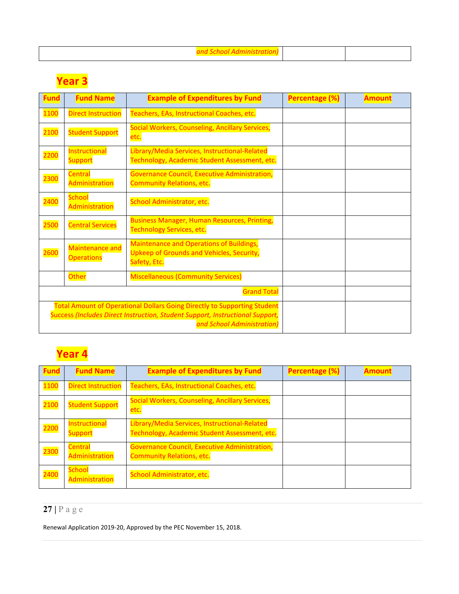|--|

# **Year 3**

| <b>Fund</b> | <b>Fund Name</b>                            | <b>Example of Expenditures by Fund</b>                                                                                                                                                         | <b>Percentage (%)</b> | <b>Amount</b> |
|-------------|---------------------------------------------|------------------------------------------------------------------------------------------------------------------------------------------------------------------------------------------------|-----------------------|---------------|
| 1100        | <b>Direct Instruction</b>                   | Teachers, EAs, Instructional Coaches, etc.                                                                                                                                                     |                       |               |
| 2100        | <b>Student Support</b>                      | Social Workers, Counseling, Ancillary Services,<br>etc.                                                                                                                                        |                       |               |
| 2200        | Instructional<br><b>Support</b>             | Library/Media Services, Instructional-Related<br>Technology, Academic Student Assessment, etc.                                                                                                 |                       |               |
| 2300        | <b>Central</b><br>Administration            | Governance Council, Executive Administration,<br><b>Community Relations, etc.</b>                                                                                                              |                       |               |
| 2400        | <b>School</b><br>Administration             | School Administrator, etc.                                                                                                                                                                     |                       |               |
| <b>2500</b> | <b>Central Services</b>                     | <b>Business Manager, Human Resources, Printing,</b><br><b>Technology Services, etc.</b>                                                                                                        |                       |               |
| <b>2600</b> | <b>Maintenance and</b><br><b>Operations</b> | <b>Maintenance and Operations of Buildings,</b><br><b>Upkeep of Grounds and Vehicles, Security,</b><br>Safety, Etc.                                                                            |                       |               |
|             | Other                                       | <b>Miscellaneous (Community Services)</b>                                                                                                                                                      |                       |               |
|             |                                             | <b>Grand Total</b>                                                                                                                                                                             |                       |               |
|             |                                             | <b>Total Amount of Operational Dollars Going Directly to Supporting Student</b><br>Success (Includes Direct Instruction, Student Support, Instructional Support,<br>and School Administration) |                       |               |

# **Year 4**

| Fund | <b>Fund Name</b>                 | <b>Example of Expenditures by Fund</b>                                                         | <b>Percentage (%)</b> | <b>Amount</b> |
|------|----------------------------------|------------------------------------------------------------------------------------------------|-----------------------|---------------|
| 1100 | <b>Direct Instruction</b>        | Teachers, EAs, Instructional Coaches, etc.                                                     |                       |               |
| 2100 | <b>Student Support</b>           | Social Workers, Counseling, Ancillary Services,<br>etc.                                        |                       |               |
| 2200 | Instructional<br><b>Support</b>  | Library/Media Services, Instructional-Related<br>Technology, Academic Student Assessment, etc. |                       |               |
| 2300 | <b>Central</b><br>Administration | Governance Council, Executive Administration,<br><b>Community Relations, etc.</b>              |                       |               |
| 2400 | <b>School</b><br>Administration  | School Administrator, etc.                                                                     |                       |               |

# **27 |** Page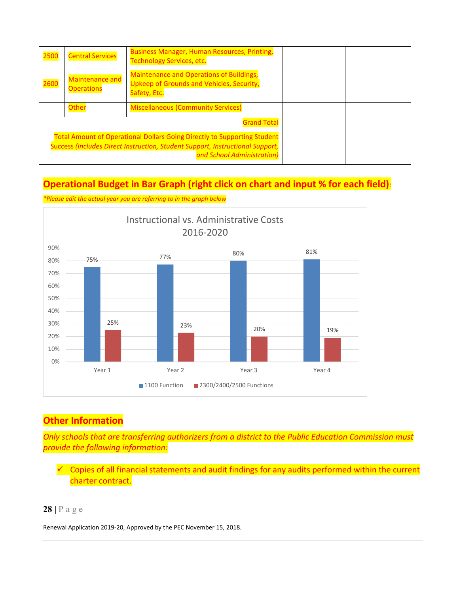| 2500        | <b>Central Services</b>                                                                                                                                                 | <b>Business Manager, Human Resources, Printing,</b><br><b>Technology Services, etc.</b>                      |  |
|-------------|-------------------------------------------------------------------------------------------------------------------------------------------------------------------------|--------------------------------------------------------------------------------------------------------------|--|
| <b>2600</b> | <b>Maintenance and</b><br><b>Operations</b>                                                                                                                             | <b>Maintenance and Operations of Buildings,</b><br>Upkeep of Grounds and Vehicles, Security,<br>Safety, Etc. |  |
|             | <b>Other</b>                                                                                                                                                            | <b>Miscellaneous (Community Services)</b>                                                                    |  |
|             |                                                                                                                                                                         |                                                                                                              |  |
|             | <b>Total Amount of Operational Dollars Going Directly to Supporting Student</b><br><b>Success (Includes Direct Instruction, Student Support, Instructional Support,</b> |                                                                                                              |  |

# **Operational Budget in Bar Graph (right click on chart and input % for each field)**:

*\*Please edit the actual year you are referring to in the graph below*



# **Other Information**

*Only schools that are transferring authorizers from a district to the Public Education Commission must provide the following information:*

 Copies of all financial statements and audit findings for any audits performed within the current charter contract.

## **28 |** Page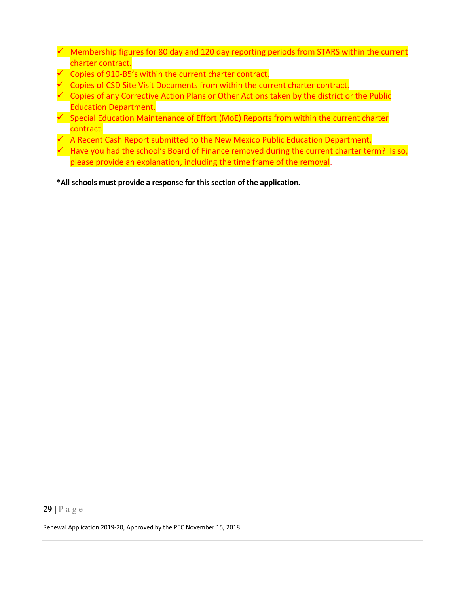- $\checkmark$  Membership figures for 80 day and 120 day reporting periods from STARS within the current charter contract.
- Copies of 910-B5's within the current charter contract.
- $\degree$  Copies of CSD Site Visit Documents from within the current charter contract.
- $\checkmark$  Copies of any Corrective Action Plans or Other Actions taken by the district or the Public Education Department.
- $\checkmark$  Special Education Maintenance of Effort (MoE) Reports from within the current charter contract.
- A Recent Cash Report submitted to the New Mexico Public Education Department.
- $\sim$  Have you had the school's Board of Finance removed during the current charter term? Is so, please provide an explanation, including the time frame of the removal.

**\*All schools must provide a response for this section of the application.**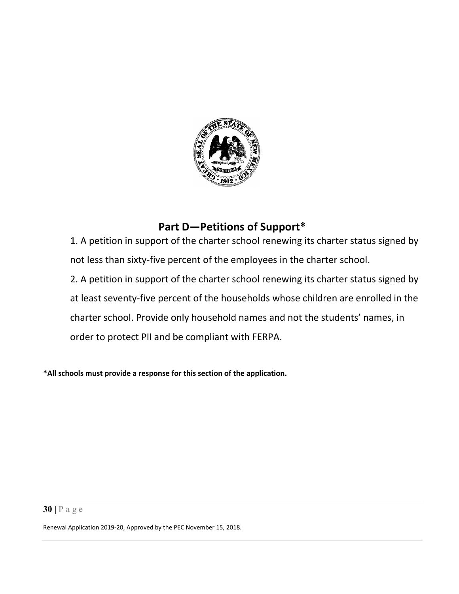

# **Part D—Petitions of Support\***

<span id="page-30-0"></span>1. A petition in support of the charter school renewing its charter status signed by not less than sixty-five percent of the employees in the charter school.

2. A petition in support of the charter school renewing its charter status signed by at least seventy-five percent of the households whose children are enrolled in the charter school. Provide only household names and not the students' names, in order to protect PII and be compliant with FERPA.

**\*All schools must provide a response for this section of the application.**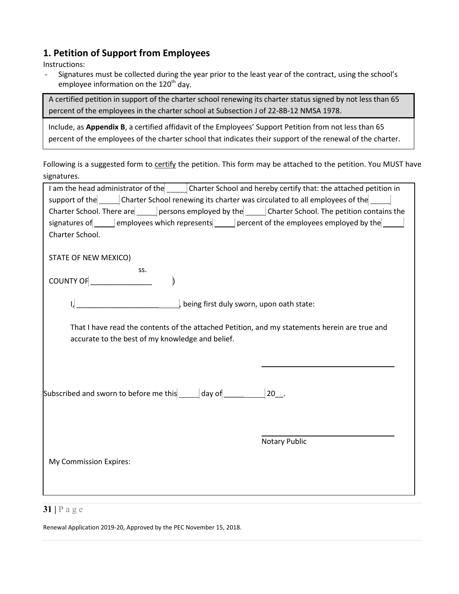## <span id="page-31-0"></span>**1. Petition of Support from Employees**

Instructions:

- Signatures must be collected during the year prior to the least year of the contract, using the school's employee information on the  $120<sup>th</sup>$  day.

A certified petition in support of the charter school renewing its charter status signed by not less than 65 percent of the employees in the charter school at Subsection J of 22-8B-12 NMSA 1978.

Include, as **Appendix B**, a certified affidavit of the Employees' Support Petition from not less than 65 percent of the employees of the charter school that indicates their support of the renewal of the charter.

Following is a suggested form to certify the petition. This form may be attached to the petition. You MUST have signatures.

| I am the head administrator of the ______ Charter School and hereby certify that: the attached petition in |                      |  |  |  |  |
|------------------------------------------------------------------------------------------------------------|----------------------|--|--|--|--|
| support of the <b>contact Charter School renewing its charter was circulated to all employees of the</b>   |                      |  |  |  |  |
| Charter School. There are persons employed by the Charter School. The petition contains the                |                      |  |  |  |  |
| signatures of employees which represents percent of the employees employed by the                          |                      |  |  |  |  |
| Charter School.                                                                                            |                      |  |  |  |  |
|                                                                                                            |                      |  |  |  |  |
| STATE OF NEW MEXICO)                                                                                       |                      |  |  |  |  |
| SS.                                                                                                        |                      |  |  |  |  |
|                                                                                                            |                      |  |  |  |  |
|                                                                                                            |                      |  |  |  |  |
| being first duly sworn, upon oath state:                                                                   |                      |  |  |  |  |
|                                                                                                            |                      |  |  |  |  |
| That I have read the contents of the attached Petition, and my statements herein are true and              |                      |  |  |  |  |
| accurate to the best of my knowledge and belief.                                                           |                      |  |  |  |  |
|                                                                                                            |                      |  |  |  |  |
|                                                                                                            |                      |  |  |  |  |
|                                                                                                            |                      |  |  |  |  |
|                                                                                                            |                      |  |  |  |  |
| Subscribed and sworn to before me this $\Box$ day of $\Box$ $\Box$ 20.                                     |                      |  |  |  |  |
|                                                                                                            |                      |  |  |  |  |
|                                                                                                            |                      |  |  |  |  |
|                                                                                                            |                      |  |  |  |  |
|                                                                                                            |                      |  |  |  |  |
|                                                                                                            | <b>Notary Public</b> |  |  |  |  |
| My Commission Expires:                                                                                     |                      |  |  |  |  |
|                                                                                                            |                      |  |  |  |  |
|                                                                                                            |                      |  |  |  |  |
|                                                                                                            |                      |  |  |  |  |
|                                                                                                            |                      |  |  |  |  |

#### **31 |** Page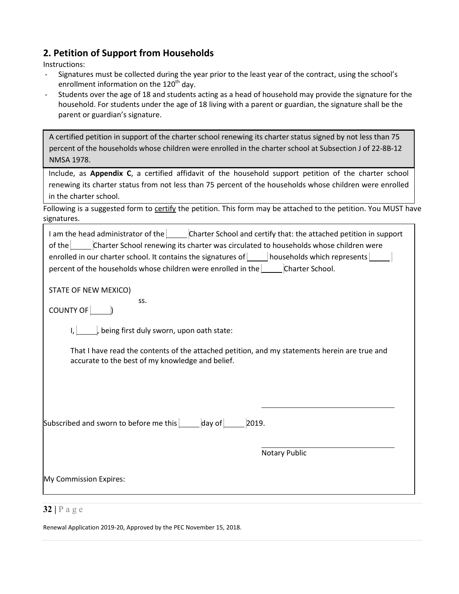# <span id="page-32-0"></span>**2. Petition of Support from Households**

Instructions:

- Signatures must be collected during the year prior to the least year of the contract, using the school's enrollment information on the  $120<sup>th</sup>$  day.
- Students over the age of 18 and students acting as a head of household may provide the signature for the household. For students under the age of 18 living with a parent or guardian, the signature shall be the parent or guardian's signature.

A certified petition in support of the charter school renewing its charter status signed by not less than 75 percent of the households whose children were enrolled in the charter school at Subsection J of 22-8B-12 NMSA 1978.

Include, as **Appendix C**, a certified affidavit of the household support petition of the charter school renewing its charter status from not less than 75 percent of the households whose children were enrolled in the charter school.

Following is a suggested form to certify the petition. This form may be attached to the petition. You MUST have signatures.

| I am the head administrator of the Charter School and certify that: the attached petition in support<br>of the Charter School renewing its charter was circulated to households whose children were<br>enrolled in our charter school. It contains the signatures of <b>Nouseholds</b> which represents <b>No. 1. 1. 1. 1. 2.</b><br>percent of the households whose children were enrolled in the Charter School. |
|--------------------------------------------------------------------------------------------------------------------------------------------------------------------------------------------------------------------------------------------------------------------------------------------------------------------------------------------------------------------------------------------------------------------|
| STATE OF NEW MEXICO)<br>SS.                                                                                                                                                                                                                                                                                                                                                                                        |
| COUNTY OF [                                                                                                                                                                                                                                                                                                                                                                                                        |
| , being first duly sworn, upon oath state:                                                                                                                                                                                                                                                                                                                                                                         |
| That I have read the contents of the attached petition, and my statements herein are true and<br>accurate to the best of my knowledge and belief.                                                                                                                                                                                                                                                                  |
|                                                                                                                                                                                                                                                                                                                                                                                                                    |
|                                                                                                                                                                                                                                                                                                                                                                                                                    |
| Subscribed and sworn to before me this $\Box$ day of $\Box$ 2019.                                                                                                                                                                                                                                                                                                                                                  |
| Notary Public                                                                                                                                                                                                                                                                                                                                                                                                      |
| My Commission Expires:                                                                                                                                                                                                                                                                                                                                                                                             |
| 2212                                                                                                                                                                                                                                                                                                                                                                                                               |

#### **32 |** Page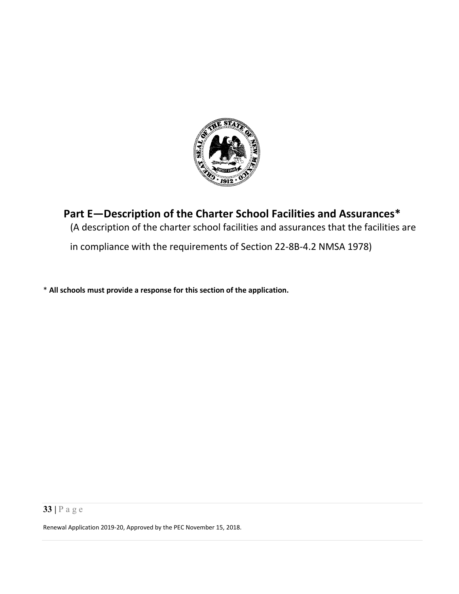

# <span id="page-33-0"></span>**Part E—Description of the Charter School Facilities and Assurances\*** (A description of the charter school facilities and assurances that the facilities are

in compliance with the requirements of Section 22-8B-4.2 NMSA 1978)

\* **All schools must provide a response for this section of the application.**